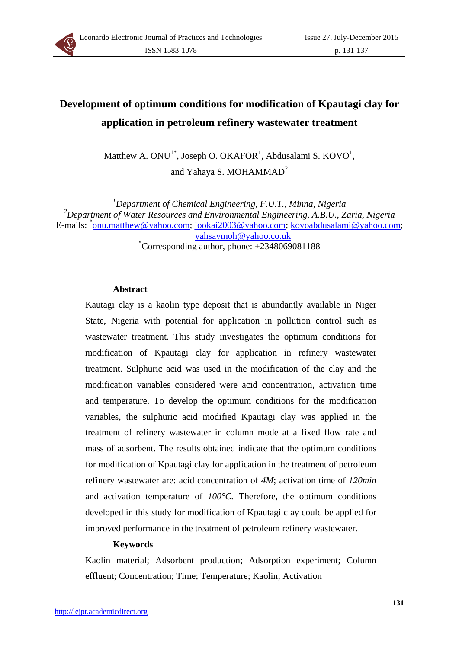

# **Development of optimum conditions for modification of Kpautagi clay for application in petroleum refinery wastewater treatment**

Matthew A.  $ONU^{1*}$ , Joseph O. OKAFOR<sup>1</sup>, Abdusalami S. KOVO<sup>1</sup>, and Yahaya S. MOHAMMAD<sup>2</sup>

*1 Department of Chemical Engineering, F.U.T., Minna, Nigeria 2 Department of Water Resources and Environmental Engineering, A.B.U., Zaria, Nigeria*  E-mails: \*<u>onu.matthew@yahoo.com; jookai2003@yahoo.com; kovoabdusalami@yahoo.com</u>; yahsaymoh@yahoo.co.uk \* Corresponding author, phone: +2348069081188

#### **Abstract**

Kautagi clay is a kaolin type deposit that is abundantly available in Niger State, Nigeria with potential for application in pollution control such as wastewater treatment. This study investigates the optimum conditions for modification of Kpautagi clay for application in refinery wastewater treatment. Sulphuric acid was used in the modification of the clay and the modification variables considered were acid concentration, activation time and temperature. To develop the optimum conditions for the modification variables, the sulphuric acid modified Kpautagi clay was applied in the treatment of refinery wastewater in column mode at a fixed flow rate and mass of adsorbent. The results obtained indicate that the optimum conditions for modification of Kpautagi clay for application in the treatment of petroleum refinery wastewater are: acid concentration of *4M*; activation time of *120min* and activation temperature of *100°C.* Therefore, the optimum conditions developed in this study for modification of Kpautagi clay could be applied for improved performance in the treatment of petroleum refinery wastewater.

## **Keywords**

Kaolin material; Adsorbent production; Adsorption experiment; Column effluent; Concentration; Time; Temperature; Kaolin; Activation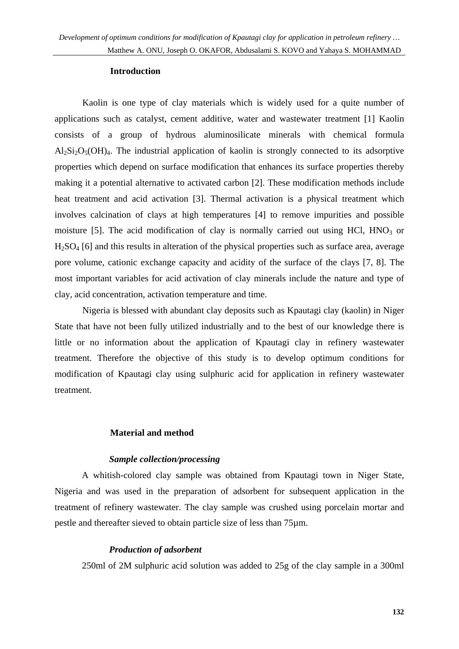#### **Introduction**

Kaolin is one type of clay materials which is widely used for a quite number of applications such as catalyst, cement additive, water and wastewater treatment [1] Kaolin consists of a group of hydrous aluminosilicate minerals with chemical formula  $Al_2Si_2O_5(OH)_4$ . The industrial application of kaolin is strongly connected to its adsorptive properties which depend on surface modification that enhances its surface properties thereby making it a potential alternative to activated carbon [2]. These modification methods include heat treatment and acid activation [3]. Thermal activation is a physical treatment which involves calcination of clays at high temperatures [4] to remove impurities and possible moisture [5]. The acid modification of clay is normally carried out using HCl,  $HNO<sub>3</sub>$  or H2SO4 [6] and this results in alteration of the physical properties such as surface area, average pore volume, cationic exchange capacity and acidity of the surface of the clays [7, 8]. The most important variables for acid activation of clay minerals include the nature and type of clay, acid concentration, activation temperature and time.

Nigeria is blessed with abundant clay deposits such as Kpautagi clay (kaolin) in Niger State that have not been fully utilized industrially and to the best of our knowledge there is little or no information about the application of Kpautagi clay in refinery wastewater treatment. Therefore the objective of this study is to develop optimum conditions for modification of Kpautagi clay using sulphuric acid for application in refinery wastewater treatment.

# **Material and method**

# *Sample collection/processing*

A whitish-colored clay sample was obtained from Kpautagi town in Niger State, Nigeria and was used in the preparation of adsorbent for subsequent application in the treatment of refinery wastewater. The clay sample was crushed using porcelain mortar and pestle and thereafter sieved to obtain particle size of less than 75µm.

# *Production of adsorbent*

250ml of 2M sulphuric acid solution was added to 25g of the clay sample in a 300ml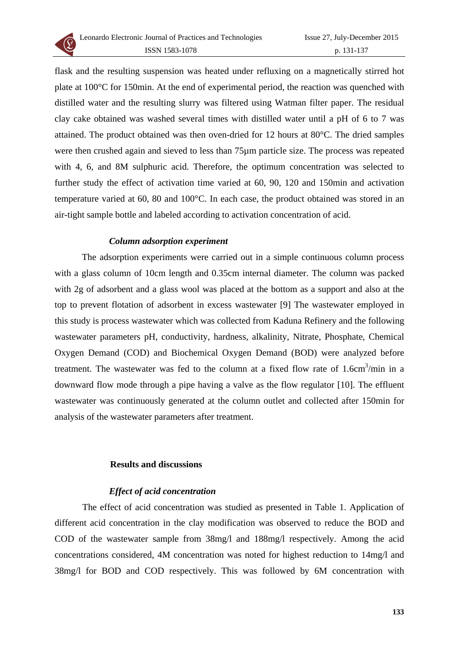

flask and the resulting suspension was heated under refluxing on a magnetically stirred hot plate at 100°C for 150min. At the end of experimental period, the reaction was quenched with distilled water and the resulting slurry was filtered using Watman filter paper. The residual clay cake obtained was washed several times with distilled water until a pH of 6 to 7 was attained. The product obtained was then oven-dried for 12 hours at 80°C. The dried samples were then crushed again and sieved to less than 75µm particle size. The process was repeated with 4, 6, and 8M sulphuric acid. Therefore, the optimum concentration was selected to further study the effect of activation time varied at 60, 90, 120 and 150min and activation temperature varied at 60, 80 and 100°C. In each case, the product obtained was stored in an air-tight sample bottle and labeled according to activation concentration of acid.

## *Column adsorption experiment*

The adsorption experiments were carried out in a simple continuous column process with a glass column of 10cm length and 0.35cm internal diameter. The column was packed with 2g of adsorbent and a glass wool was placed at the bottom as a support and also at the top to prevent flotation of adsorbent in excess wastewater [9] The wastewater employed in this study is process wastewater which was collected from Kaduna Refinery and the following wastewater parameters pH, conductivity, hardness, alkalinity, Nitrate, Phosphate, Chemical Oxygen Demand (COD) and Biochemical Oxygen Demand (BOD) were analyzed before treatment. The wastewater was fed to the column at a fixed flow rate of  $1.6 \text{cm}^3/\text{min}$  in a downward flow mode through a pipe having a valve as the flow regulator [10]. The effluent wastewater was continuously generated at the column outlet and collected after 150min for analysis of the wastewater parameters after treatment.

#### **Results and discussions**

## *Effect of acid concentration*

The effect of acid concentration was studied as presented in Table 1. Application of different acid concentration in the clay modification was observed to reduce the BOD and COD of the wastewater sample from 38mg/l and 188mg/l respectively. Among the acid concentrations considered, 4M concentration was noted for highest reduction to 14mg/l and 38mg/l for BOD and COD respectively. This was followed by 6M concentration with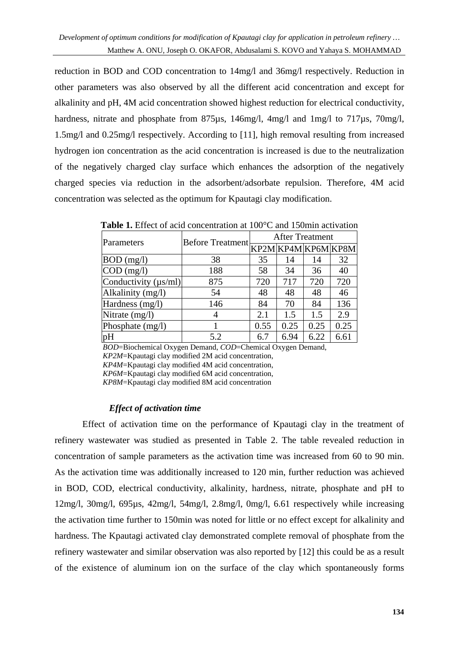reduction in BOD and COD concentration to 14mg/l and 36mg/l respectively. Reduction in other parameters was also observed by all the different acid concentration and except for alkalinity and pH, 4M acid concentration showed highest reduction for electrical conductivity, hardness, nitrate and phosphate from 875us, 146mg/l, 4mg/l and 1mg/l to 717us, 70mg/l, 1.5mg/l and 0.25mg/l respectively. According to [11], high removal resulting from increased hydrogen ion concentration as the acid concentration is increased is due to the neutralization of the negatively charged clay surface which enhances the adsorption of the negatively charged species via reduction in the adsorbent/adsorbate repulsion. Therefore, 4M acid concentration was selected as the optimum for Kpautagi clay modification.

| <b>Table 1.</b> Effect of acid concentration at 100 C and 1901ml activation |                         |                        |      |      |                     |  |  |  |
|-----------------------------------------------------------------------------|-------------------------|------------------------|------|------|---------------------|--|--|--|
| Parameters                                                                  | <b>Before Treatment</b> | <b>After Treatment</b> |      |      |                     |  |  |  |
|                                                                             |                         |                        |      |      | KP2M KP4M KP6M KP8M |  |  |  |
| $BOD$ (mg/l)                                                                | 38                      | 35                     | 14   | 14   | 32                  |  |  |  |
| $\text{COD} \text{ (mg/l)}$                                                 | 188                     | 58                     | 34   | 36   | 40                  |  |  |  |
| Conductivity $(\mu s/ml)$                                                   | 875                     | 720                    | 717  | 720  | 720                 |  |  |  |
| Alkalinity (mg/l)                                                           | 54                      | 48                     | 48   | 48   | 46                  |  |  |  |
| Hardness (mg/l)                                                             | 146                     | 84                     | 70   | 84   | 136                 |  |  |  |
| Nitrate (mg/l)                                                              | 4                       | 2.1                    | 1.5  | 1.5  | 2.9                 |  |  |  |
| Phosphate (mg/l)                                                            |                         | 0.55                   | 0.25 | 0.25 | 0.25                |  |  |  |
| pH                                                                          | 5.2                     | 6.7                    | 6.94 | 6.22 | 6.61                |  |  |  |

**Table 1.** Effect of acid concentration at 100°C and 150min activation

*BOD*=Biochemical Oxygen Demand, *COD*=Chemical Oxygen Demand, *KP2M*=Kpautagi clay modified 2M acid concentration,

*KP4M*=Kpautagi clay modified 4M acid concentration,

*KP6M*=Kpautagi clay modified 6M acid concentration,

*KP8M*=Kpautagi clay modified 8M acid concentration

# *Effect of activation time*

Effect of activation time on the performance of Kpautagi clay in the treatment of refinery wastewater was studied as presented in Table 2. The table revealed reduction in concentration of sample parameters as the activation time was increased from 60 to 90 min. As the activation time was additionally increased to 120 min, further reduction was achieved in BOD, COD, electrical conductivity, alkalinity, hardness, nitrate, phosphate and pH to 12mg/l, 30mg/l, 695µs, 42mg/l, 54mg/l, 2.8mg/l, 0mg/l, 6.61 respectively while increasing the activation time further to 150min was noted for little or no effect except for alkalinity and hardness. The Kpautagi activated clay demonstrated complete removal of phosphate from the refinery wastewater and similar observation was also reported by [12] this could be as a result of the existence of aluminum ion on the surface of the clay which spontaneously forms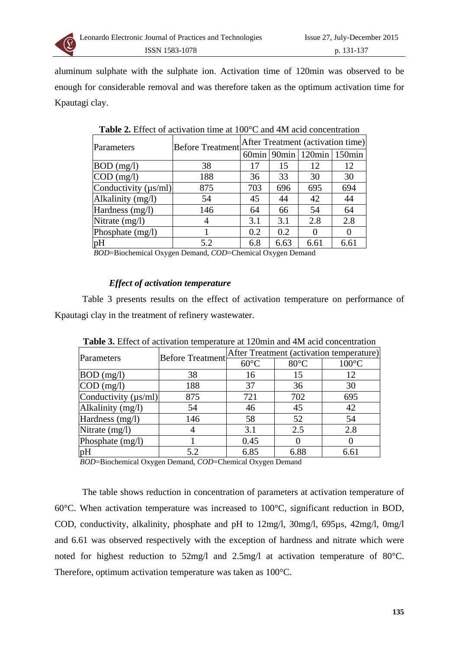

aluminum sulphate with the sulphate ion. Activation time of 120min was observed to be enough for considerable removal and was therefore taken as the optimum activation time for Kpautagi clay.

| Parameters                  | <b>Before Treatment</b> | After Treatment (activation time) |      |                                    |      |  |
|-----------------------------|-------------------------|-----------------------------------|------|------------------------------------|------|--|
|                             |                         |                                   |      | $60$ min   90min   120min   150min |      |  |
| $BOD$ (mg/l)                | 38                      | 17                                | 15   | 12                                 | 12   |  |
| $\text{COD} \text{ (mg/l)}$ | 188                     | 36                                | 33   | 30                                 | 30   |  |
| Conductivity $(\mu s/ml)$   | 875                     | 703                               | 696  | 695                                | 694  |  |
| Alkalinity (mg/l)           | 54                      | 45                                | 44   | 42                                 | 44   |  |
| Hardness (mg/l)             | 146                     | 64                                | 66   | 54                                 | 64   |  |
| Nitrate (mg/l)              |                         | 3.1                               | 3.1  | 2.8                                | 2.8  |  |
| Phosphate (mg/l)            |                         | 0.2                               | 0.2  |                                    |      |  |
| pH                          | 5.2                     | 6.8                               | 6.63 | 6.61                               | 6.61 |  |

**Table 2.** Effect of activation time at 100°C and 4M acid concentration

*BOD*=Biochemical Oxygen Demand, *COD*=Chemical Oxygen Demand

## *Effect of activation temperature*

Table 3 presents results on the effect of activation temperature on performance of Kpautagi clay in the treatment of refinery wastewater.

| Parameters                  | <b>Before Treatment</b> | After Treatment (activation temperature) |          |                 |  |
|-----------------------------|-------------------------|------------------------------------------|----------|-----------------|--|
|                             |                         | $60^{\circ}$ C                           | 80°C     | $100^{\circ}$ C |  |
| $BOD$ (mg/l)                | 38                      | 16                                       | 15       | 12              |  |
| $\text{COD} \text{ (mg/l)}$ | 188                     | 37                                       | 36       | 30              |  |
| Conductivity ( $\mu s/ml$ ) | 875                     | 721                                      | 702      | 695             |  |
| Alkalinity (mg/l)           | 54                      | 46                                       | 45       | 42              |  |
| Hardness (mg/l)             | 146                     | 58                                       | 52       | 54              |  |
| Nitrate (mg/l)              |                         | 3.1                                      | 2.5      | 2.8             |  |
| Phosphate (mg/l)            |                         | 0.45                                     | $\theta$ |                 |  |
| pH                          | 5.2                     | 6.85                                     | 6.88     | 6.61            |  |

**Table 3.** Effect of activation temperature at 120min and 4M acid concentration

*BOD*=Biochemical Oxygen Demand, *COD*=Chemical Oxygen Demand

The table shows reduction in concentration of parameters at activation temperature of 60°C. When activation temperature was increased to 100°C, significant reduction in BOD, COD, conductivity, alkalinity, phosphate and pH to 12mg/l, 30mg/l, 695µs, 42mg/l, 0mg/l and 6.61 was observed respectively with the exception of hardness and nitrate which were noted for highest reduction to 52mg/l and 2.5mg/l at activation temperature of 80°C. Therefore, optimum activation temperature was taken as 100°C.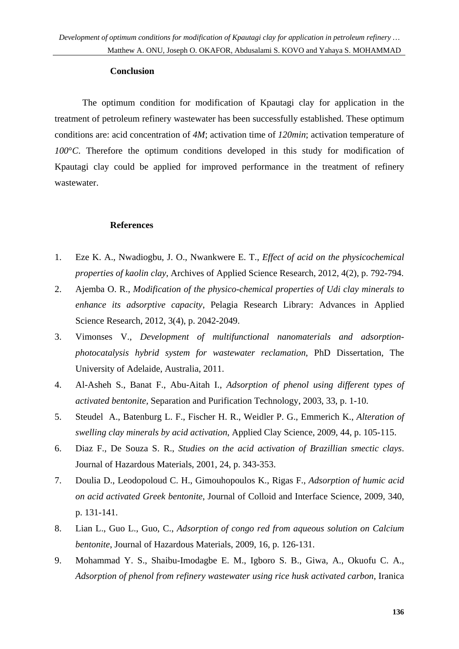#### **Conclusion**

The optimum condition for modification of Kpautagi clay for application in the treatment of petroleum refinery wastewater has been successfully established. These optimum conditions are: acid concentration of *4M*; activation time of *120min*; activation temperature of *100*°*C*. Therefore the optimum conditions developed in this study for modification of Kpautagi clay could be applied for improved performance in the treatment of refinery wastewater.

## **References**

- 1. Eze K. A., Nwadiogbu, J. O., Nwankwere E. T., *Effect of acid on the physicochemical properties of kaolin clay*, Archives of Applied Science Research, 2012, 4(2), p. 792-794.
- 2. Ajemba O. R., *Modification of the physico-chemical properties of Udi clay minerals to enhance its adsorptive capacity*, Pelagia Research Library: Advances in Applied Science Research, 2012, 3(4), p. 2042-2049.
- 3. Vimonses V., *Development of multifunctional nanomaterials and adsorptionphotocatalysis hybrid system for wastewater reclamation*, PhD Dissertation, The University of Adelaide, Australia, 2011.
- 4. Al-Asheh S., Banat F., Abu-Aitah I., *Adsorption of phenol using different types of activated bentonite,* Separation and Purification Technology, 2003, 33, p. 1-10.
- 5. Steudel A., Batenburg L. F., Fischer H. R., Weidler P. G., Emmerich K., *Alteration of swelling clay minerals by acid activation*, Applied Clay Science, 2009, 44, p. 105-115.
- 6. Diaz F., De Souza S. R., *Studies on the acid activation of Brazillian smectic clays*. Journal of Hazardous Materials, 2001, 24, p. 343-353.
- 7. Doulia D., Leodopoloud C. H., Gimouhopoulos K., Rigas F., *Adsorption of humic acid on acid activated Greek bentonite*, Journal of Colloid and Interface Science, 2009, 340, p. 131-141.
- 8. Lian L., Guo L., Guo, C., *Adsorption of congo red from aqueous solution on Calcium bentonite*, Journal of Hazardous Materials, 2009, 16, p. 126-131.
- 9. Mohammad Y. S., Shaibu-Imodagbe E. M., Igboro S. B., Giwa, A., Okuofu C. A., *Adsorption of phenol from refinery wastewater using rice husk activated carbon*, Iranica